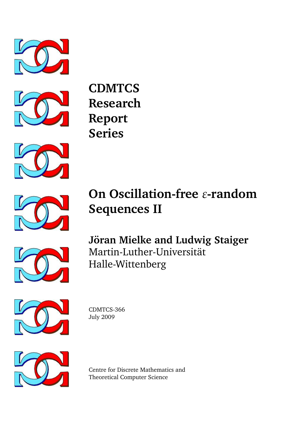



**CDMTCS Research Report Series**





# **On Oscillation-free** *ε***-random Sequences II**



**Jöran Mielke and Ludwig Staiger** Martin-Luther-Universität Halle-Wittenberg



CDMTCS-366 July 2009



Centre for Discrete Mathematics and Theoretical Computer Science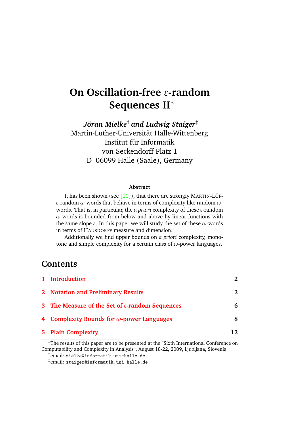## **On Oscillation-free** *ε***-random Sequences II**<sup>∗</sup>

*Joran Mielke ¨* † *and Ludwig Staiger*‡ Martin-Luther-Universitat Halle-Wittenberg ¨ Institut für Informatik von-Seckendorff-Platz 1 D–06099 Halle (Saale), Germany

#### **Abstract**

It has been shown (see  $[10]$ ), that there are strongly MARTIN-LÖF*ε*-random *ω*-words that behave in terms of complexity like random *ω*words. That is, in particular, the *a priori* complexity of these *ε*-random *ω*-words is bounded from below and above by linear functions with the same slope *ε*. In this paper we will study the set of these *ω*-words in terms of HAUSDORFF measure and dimension.

Additionally we find upper bounds on *a priori* complexity, monotone and simple complexity for a certain class of *ω*-power languages.

## **Contents**

| 1 Introduction                                              | 2  |
|-------------------------------------------------------------|----|
| 2 Notation and Preliminary Results                          | 2  |
| 3 The Measure of the Set of $\varepsilon$ -random Sequences | 6  |
| 4 Complexity Bounds for $\omega$ -power Languages           | 8  |
| <b>5</b> Plain Complexity                                   | 12 |

<sup>∗</sup>The results of this paper are to be presented at the "Sixth International Conference on Computability and Complexity in Analysis", August 18-22, 2009, Ljubljana, Slovenia

†email: mielke@informatik.uni-halle.de

‡email: staiger@informatik.uni-halle.de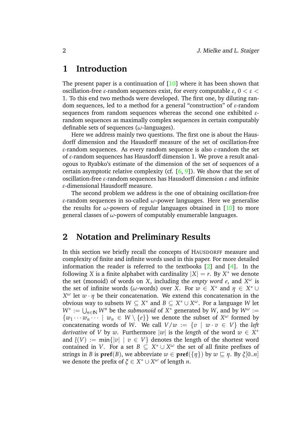## <span id="page-2-0"></span>**1 Introduction**

The present paper is a continuation of  $[10]$  where it has been shown that oscillation-free *ε*-random sequences exist, for every computable *ε*, 0 < *ε* < 1. To this end two methods were developed. The first one, by diluting random sequences, led to a method for a general "construction" of *ε*-random sequences from random sequences whereas the second one exhibited *ε*random sequences as maximally complex sequences in certain computably definable sets of sequences (*ω*-languages).

Here we address mainly two questions. The first one is about the Hausdorff dimension and the Hausdorff measure of the set of oscillation-free *ε*-random sequences. As every random sequence is also *ε*-random the set of *ε*-random sequences has Hausdorff dimension 1. We prove a result analogous to Ryabko's estimate of the dimension of the set of sequences of a certain asymptotic relative complexity (cf.  $[6, 9]$  $[6, 9]$  $[6, 9]$ ). We show that the set of oscillation-free *ε*-random sequences has Hausdorff dimension *ε* and infinite *ε*-dimensional Hausdorff measure.

The second problem we address is the one of obtaining oscillation-free *ε*-random sequences in so-called *ω*-power languages. Here we generalise the results for  $\omega$ -powers of regular languages obtained in [\[10\]](#page-14-0) to more general classes of *ω*-powers of computably enumerable languages.

## <span id="page-2-1"></span>**2 Notation and Preliminary Results**

In this section we briefly recall the concepts of HAUSDORFF measure and complexity of finite and infinite words used in this paper. For more detailed information the reader is referred to the textbooks [\[2\]](#page-13-0) and [\[4\]](#page-14-3). In the following *X* is a finite alphabet with cardinality  $|X| = r$ . By  $X^*$  we denote the set (monoid) of words on *X*, including the *empty word*  $e$ , and  $X^{\omega}$  is the set of infinite words ( $\omega$ -words) over *X*. For  $w \in X^*$  and  $\eta \in X^* \cup$ *X*<sup>ω</sup> let  $w \cdot \eta$  be their concatenation. We extend this concatenation in the obvious way to subsets  $W \subseteq X^*$  and  $B \subseteq X^* \cup X^{\omega}$ . For a language W let  $W^* := \bigcup_{n \in \mathbb{N}} W^n$  be the *submonoid* of  $X^*$  generated by *W*, and by  $W^{\omega} :=$  $\{w_1 \cdots w_n \cdots \mid w_n \in W \setminus \{e\}\}\$  we denote the subset of  $X^{\omega}$  formed by concatenating words of *W*. We call  $V/w := \{v \mid w \cdot v \in V\}$  the *left derivative* of *V* by *w*. Furthermore  $|w|$  is the *length* of the word  $w \in X^*$ and  $\underline{l}(V) := \min\{|v| \mid v \in V\}$  denotes the length of the shortest word contained in *V*. For a set  $B \subseteq X^* \cup X^{\omega}$  the set of all finite prefixes of strings in *B* is  $\text{pref}(B)$ , we abbreviate  $w \in \text{pref}(\{\eta\})$  by  $w \sqsubset \eta$ . By  $\xi[0..n]$ we denote the prefix of  $\xi \in X^* \cup X^{\omega}$  of length *n*.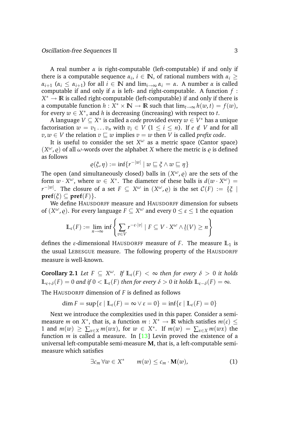A real number *α* is right-computable (left-computable) if and only if there is a computable sequence  $\alpha_i$ ,  $i \in \mathbb{N}$ , of rational numbers with  $\alpha_i \geq$  $\alpha_{i+1}$  ( $\alpha_i \leq \alpha_{i+1}$ ) for all  $i \in \mathbb{N}$  and  $\lim_{i \to \infty} \alpha_i = \alpha$ . A number  $\alpha$  is called computable if and only if *α* is left- and right-computable. A function *f* : *X*<sup>\*</sup> → **R** is called right-computable (left-computable) if and only if there is a computable function  $h: X^* \times \mathbb{N} \to \mathbb{R}$  such that  $\lim_{t \to \infty} h(w, t) = f(w)$ , for every  $w \in X^*$ , and *h* is decreasing (increasing) with respect to *t*.

A language *V* ⊆ *X* ∗ is called a *code* provided every *w* ∈ *V* <sup>∗</sup> has a unique factorisation  $w = v_1 \dots v_n$  with  $v_i \in V$  ( $1 \le i \le n$ ). If  $e \notin V$  and for all  $v, w \in V$  the relation  $v \subseteq w$  implies  $v = w$  then *V* is called *prefix code*.

It is useful to consider the set  $X^{\omega}$  as a metric space (Cantor space)  $(X^{\omega}, \varrho)$  of all  $\omega$ -words over the alphabet *X* where the metric is  $\varrho$  is defined as follows

$$
\varrho(\xi,\eta):=\inf\{r^{-|w|} \mid w \sqsubseteq \xi \wedge w \sqsubseteq \eta\}
$$

The open (and simultaneously closed) balls in  $(X^\omega,\varrho)$  are the sets of the form  $w \cdot X^{\omega}$ , where  $w \in X^*$ . The diameter of these balls is  $d(w \cdot X^{\omega}) =$  $r^{-|w|}.$  The closure of a set  $F\,\subseteq\, X^\omega$  in  $(X^\omega,\varrho)$  is the set  $\mathcal{C}(F)\,:=\,\{\xi\,\mid\, F\in\mathcal{F}$  $\mathbf{pref}(\xi) \subseteq \mathbf{pref}(F)$ .

We define HAUSDORFF measure and HAUSDORFF dimension for subsets of  $(X^\omega,\varrho).$  For every language  $F\subseteq X^\omega$  and every  $0\leq \varepsilon\leq 1$  the equation

$$
\mathbb{L}_{\varepsilon}(F) := \lim_{n \to \infty} \inf \left\{ \sum_{v \in V} r^{-\varepsilon \cdot |v|} \mid F \subseteq V \cdot X^{\omega} \wedge \underline{l}(V) \ge n \right\}
$$

defines the *ε*-dimensional HAUSDORFF measure of *F*. The measure **L**<sup>1</sup> is the usual LEBESGUE measure. The following property of the HAUSDORFF measure is well-known.

**Corollary 2.1** *Let*  $F \subseteq X^\omega$ *. If*  $\mathbb{L}_{\varepsilon}(F) < \infty$  *then for every*  $\delta > 0$  *it holds*  $\mathbb{L}_{\varepsilon+\delta}(F) = 0$  *and if*  $0 \lt \mathbb{L}_{\varepsilon}(F)$  *then for every*  $\delta > 0$  *it holds*  $\mathbb{L}_{\varepsilon-\delta}(F) = \infty$ *.* 

The HAUSDORFF dimension of *F* is defined as follows

$$
\dim F = \sup \{ \varepsilon \mid \mathbb{L}_{\varepsilon}(F) = \infty \vee \varepsilon = 0 \} = \inf \{ \varepsilon \mid \mathbb{L}_{\varepsilon}(F) = 0 \}
$$

Next we introduce the complexities used in this paper. Consider a semimeasure *m* on  $X^*$ , that is, a function  $m: X^* \to \mathbb{R}$  which satisfies  $m(\varepsilon) \leq$ 1 and  $m(w) \ge \sum_{x \in X} m(wx)$ , for  $w \in X^*$ . If  $m(w) = \sum_{x \in X} m(wx)$  the function  $m$  is called a measure. In  $[13]$  Levin proved the existence of a universal left-computable semi-measure **M**, that is, a left-computable semimeasure which satisfies

<span id="page-3-0"></span>
$$
\exists c_m \forall w \in X^* \qquad m(w) \leq c_m \cdot \mathbf{M}(w), \tag{1}
$$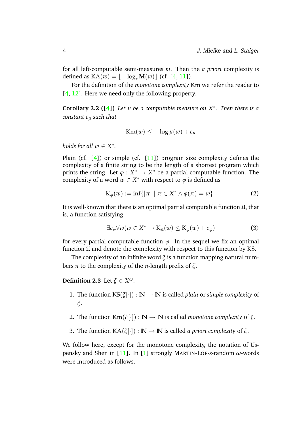for all left-computable semi-measures *m*. Then the *a priori* complexity is defined as  $KA(w) = |-log<sub>r</sub> M(w)|$  (cf. [\[4,](#page-14-3) [11\]](#page-14-5)).

For the definition of the *monotone complexity* Km we refer the reader to [\[4,](#page-14-3) [12\]](#page-14-6). Here we need only the following property.

**Corollary 2.2 ([\[4\]](#page-14-3))** Let  $\mu$  be a computable measure on  $X^*$ . Then there is a *constant c<sup>µ</sup> such that*

<span id="page-4-0"></span>
$$
Km(w) \leq -\log \mu(w) + c_{\mu}
$$

*holds for all*  $w \in X^*$ .

Plain (cf.  $[4]$ ) or simple (cf.  $[11]$ ) program size complexity defines the complexity of a finite string to be the length of a shortest program which prints the string. Let  $\varphi : X^* \to X^*$  be a partial computable function. The complexity of a word  $w \in X^*$  with respect to  $\varphi$  is defined as

$$
K_{\varphi}(w) := \inf\{|\pi| \mid \pi \in X^* \wedge \varphi(\pi) = w\}.
$$
 (2)

It is well-known that there is an optimal partial computable function  $\mathfrak{U}$ , that is, a function satisfying

$$
\exists c_{\varphi} \forall w (w \in X^* \to \mathcal{K}_{\mathfrak{U}}(w) \leq \mathcal{K}_{\varphi}(w) + c_{\varphi})
$$
 (3)

for every partial computable function  $\varphi$ . In the sequel we fix an optimal function U and denote the complexity with respect to this function by KS.

The complexity of an infinite word *ξ* is a function mapping natural numbers *n* to the complexity of the *n*-length prefix of *ξ*.

**Definition 2.3** Let  $\xi \in X^{\omega}$ .

- 1. The function  $KS(\xi[\cdot]) : \mathbb{N} \to \mathbb{N}$  is called *plain* or *simple complexity* of *ξ*.
- 2. The function  $\text{Km}(\xi[\cdot]) : \mathbb{N} \to \mathbb{N}$  is called *monotone complexity* of  $\xi$ .
- 3. The function  $KA(\xi[\cdot]) : \mathbb{N} \to \mathbb{N}$  is called *a priori complexity* of  $\xi$ .

We follow here, except for the monotone complexity, the notation of Uspensky and Shen in [\[11\]](#page-14-5). In [\[1\]](#page-13-1) strongly MARTIN-LOF ¨ -*ε*-random *ω*-words were introduced as follows.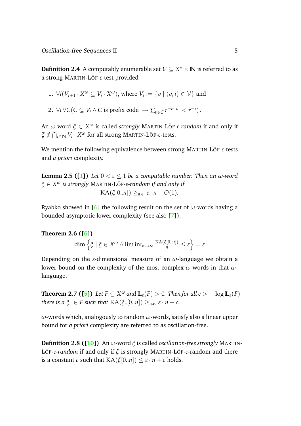**Definition 2.4** A computably enumerable set  $\mathcal{V} \subseteq X^* \times \mathbb{N}$  is referred to as a strong MARTIN-LÖF-ε-test provided

1. 
$$
\forall i (V_{i+1} \cdot X^{\omega} \subseteq V_i \cdot X^{\omega})
$$
, where  $V_i := \{v \mid (v, i) \in V\}$  and

2.  $\forall i \forall C (C \subseteq V_i \land C \text{ is prefix code } \rightarrow \sum_{v \in C} r^{-\varepsilon \cdot |v|} < r^{-i}).$ 

An *ω*-word *ξ* ∈ *X <sup>ω</sup>* is called *strongly* MARTIN-LOF ¨ *-ε-random* if and only if  $\zeta \notin \bigcap_{i \in \mathbb{N}} V_i \cdot X^\omega$  for all strong MARTIN-LÖF-*ε*-tests.

We mention the following equivalence between strong MARTIN-LÖF-ε-tests and *a priori* complexity.

**Lemma 2.5 ([\[1\]](#page-13-1))** *Let*  $0 < \varepsilon < 1$  *be a computable number. Then an*  $\omega$ *-word*  $\zeta \in X^\omega$  *is strongly <code>MARTIN-LÖF-ε-random</code> if and only if*  $KA(\xi[0..n]) >_{\text{def}} \varepsilon \cdot n - O(1).$ 

Ryabko showed in [\[6\]](#page-14-1) the following result on the set of *ω*-words having a bounded asymptotic lower complexity (see also [\[7\]](#page-14-7)).

#### **Theorem 2.6 ([\[6\]](#page-14-1))**

<span id="page-5-0"></span>
$$
\dim \left\{ \xi \mid \xi \in X^{\omega} \wedge \liminf_{n \to \infty} \frac{KA(\xi[0..n])}{n} \le \varepsilon \right\} = \varepsilon
$$

<span id="page-5-1"></span>Depending on the *ε*-dimensional measure of an *ω*-language we obtain a lower bound on the complexity of the most complex *ω*-words in that *ω*language.

**Theorem 2.7 ([\[5\]](#page-14-8))** Let  $F \subseteq X^\omega$  and  $\mathbb{L}_{\varepsilon}(F) > 0$ . Then for all  $c > -\log \mathbb{L}_{\varepsilon}(F)$ *there is a*  $\xi_c \in F$  *such that*  $KA(\xi_c[0..n]) \geq_{a.e.} \varepsilon \cdot n - c$ *.* 

*ω*-words which, analogously to random *ω*-words, satisfy also a linear upper bound for *a priori* complexity are referred to as oscillation-free.

**Definition 2.8 ([\[10\]](#page-14-0))** An *ω*-word *ξ* is called *oscillation-free strongly* MARTIN-LÖF-ε-random if and only if ζ is strongly MARTIN-LÖF-ε-random and there is a constant *c* such that  $KA(\xi[0..n]) \leq \varepsilon \cdot n + c$  holds.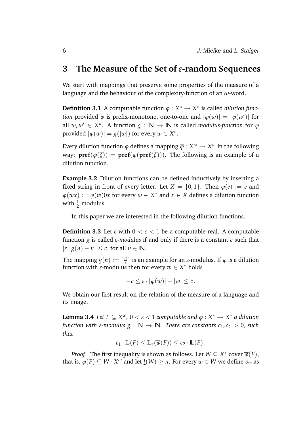## <span id="page-6-0"></span>**3 The Measure of the Set of** *ε***-random Sequences**

We start with mappings that preserve some properties of the measure of a language and the behaviour of the complexity-function of an *ω*-word.

**Definition 3.1** A computable function  $\varphi: X^* \to X^*$  is called *dilution function* provided  $\varphi$  is prefix-monotone, one-to-one and  $|\varphi(w)| = |\varphi(w')|$  for all  $w, w' \in X^n$ . A function  $g : \mathbb{N} \to \mathbb{N}$  is called *modulus-function* for  $\varphi$ provided  $|\varphi(w)| = g(|w|)$  for every  $w \in X^*$ .

Every dilution function  $\varphi$  defines a mapping  $\overline{\varphi}:X^\omega\to X^\omega$  in the following way:  $\text{pref}(\overline{\phi}(\xi)) = \text{pref}(\phi(\text{pref}(\xi)))$ . The following is an example of a dilution function.

**Example 3.2** Dilution functions can be defined inductively by inserting a fixed string in front of every letter. Let  $X = \{0, 1\}$ . Then  $\varphi(e) := e$  and  $\varphi(wx) := \varphi(w)0x$  for every  $w \in X^*$  and  $x \in X$  defines a dilution function with  $\frac{1}{2}$ -modulus.

In this paper we are interested in the following dilution functions.

**Definition 3.3** Let  $\varepsilon$  with  $0 < \varepsilon < 1$  be a computable real. A computable function *g* is called *ε-modulus* if and only if there is a constant *c* such that  $|\varepsilon \cdot g(n) - n| \leq c$ , for all  $n \in \mathbb{N}$ .

The mapping  $g(n) := \lceil \frac{n}{s} \rceil$  $\frac{n}{ε}$  is an example for an *ε*-modulus. If *φ* is a dilution function with  $\varepsilon$ -modulus then for every  $w \in X^*$  holds

$$
-c\leq \varepsilon\cdot |\varphi(w)|-|w|\leq c.
$$

We obtain our first result on the relation of the measure of a language and its image.

<span id="page-6-1"></span>**Lemma 3.4** *Let*  $F \subseteq X^\omega$ ,  $0 < \varepsilon < 1$  *computable and*  $\varphi : X^* \to X^*$  *a dilution function with ε-modulus*  $g : \mathbb{N} \to \mathbb{N}$ *. There are constants*  $c_1, c_2 > 0$ *, such that*

$$
c_1 \cdot \mathbb{L}(F) \leq \mathbb{L}_{\varepsilon}(\overline{\varphi}(F)) \leq c_2 \cdot \mathbb{L}(F).
$$

*Proof.* The first inequality is shown as follows. Let  $W \subseteq X^*$  cover  $\overline{\varphi}(F)$ , that is,  $\overline{\varphi}(F) \subseteq W \cdot X^\omega$  and let  $\underline{l}(W) \geq n.$  For every  $w \in W$  we define  $v_w$  as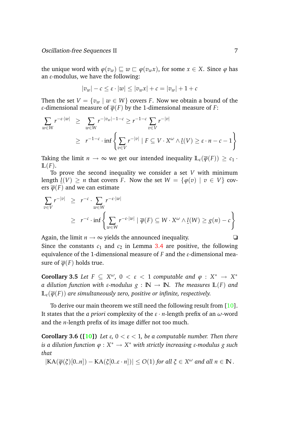the unique word with  $\varphi(v_w) \sqsubseteq w \sqsubseteq \varphi(v_w x)$ , for some  $x \in X$ . Since  $\varphi$  has an *ε*-modulus, we have the following:

$$
|v_w| - c \le \varepsilon \cdot |w| \le |v_w x| + c = |v_w| + 1 + c
$$

Then the set  $V = \{v_w \mid w \in W\}$  covers *F*. Now we obtain a bound of the *ε*-dimensional measure of  $\overline{\varphi}(F)$  by the 1-dimensional measure of *F*:

$$
\sum_{w \in W} r^{-\varepsilon \cdot |w|} \geq \sum_{w \in W} r^{-|v_w|-1-c} \geq r^{-1-c} \sum_{v \in V} r^{-|v|}
$$
\n
$$
\geq r^{-1-c} \cdot \inf \left\{ \sum_{v \in V} r^{-|v|} | F \subseteq V \cdot X^{\omega} \wedge \underline{l}(V) \geq \varepsilon \cdot n - c - 1 \right\}
$$

Taking the limit  $n \to \infty$  we get our intended inequality  $\mathbb{L}_{\varepsilon}(\overline{\varphi}(F)) > c_1$ .  $\mathbb{L}(F)$ .

To prove the second inequality we consider a set *V* with minimum length  $l(V) > n$  that covers *F*. Now the set  $W = \{\varphi(v) | v \in V\}$  covers  $\overline{\varphi}(F)$  and we can estimate

$$
\sum_{v \in V} r^{-|v|} \ge r^{-c} \cdot \sum_{w \in W} r^{-\varepsilon \cdot |w|}
$$
\n
$$
\ge r^{-c} \cdot \inf \left\{ \sum_{w \in W} r^{-\varepsilon \cdot |w|} \mid \overline{\varphi}(F) \subseteq W \cdot X^{\omega} \wedge \underline{l}(W) \ge g(n) - c \right\}
$$

Again, the limit  $n \to \infty$  yields the announced inequality.  $\Box$ Since the constants  $c_1$  and  $c_2$  in Lemma [3.4](#page-6-1) are positive, the following equivalence of the 1-dimensional measure of *F* and the *ε*-dimensional measure of  $\overline{\varphi}(F)$  holds true.

**Corollary 3.5** *Let*  $F \subseteq X^{\omega}$ ,  $0 < \varepsilon < 1$  *computable and*  $\varphi : X^* \to X^*$ *a dilution function with ε-modulus*  $g : \mathbb{N} \to \mathbb{N}$ *. The measures*  $\mathbb{L}(F)$  *and*  $\mathbb{L}_{\varepsilon}(\overline{\varphi}(F))$  are simultaneously zero, positive or infinite, respectively.

<span id="page-7-0"></span>To derive our main theorem we still need the following result from [\[10\]](#page-14-0). It states that the *a priori* complexity of the *ε* · *n*-length prefix of an *ω*-word and the *n*-length prefix of its image differ not too much.

**Corollary 3.6 ([\[10\]](#page-14-0))** *Let*  $\varepsilon$ ,  $0 < \varepsilon < 1$ , *be a computable number. Then there is a dilution function ϕ* : *X* <sup>∗</sup> → *X* <sup>∗</sup> *with strictly increasing ε-modulus g such that*

$$
|\text{KA}(\overline{\varphi}(\xi)[0..n]) - \text{KA}(\xi[0..\varepsilon \cdot n])| \leq O(1)
$$
 for all  $\xi \in X^{\omega}$  and all  $n \in \mathbb{N}$ .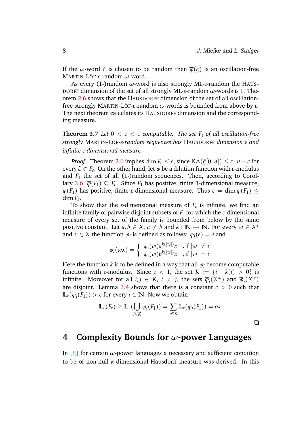If the *ω*-word  $\xi$  is chosen to be random then  $\overline{\varphi}(\xi)$  is an oscillation-free MARTIN-LOF ¨ -*ε*-random *ω*-word.

As every (1-)random *ω*-word is also strongly ML-*ε*-random the HAUS-DORFF dimension of the set of all strongly ML-*ε*-random *ω*-words is 1. Theorem [2.6](#page-5-0) shows that the HAUSDORFF dimension of the set of all oscillationfree strongly MARTIN-LÖF-ε-random *ω*-words is bounded from above by *ε*. The next theorem calculates its HAUSDORFF dimension and the corresponding measure.

**Theorem 3.7** *Let*  $0 < \varepsilon < 1$  *computable. The set*  $F_{\varepsilon}$  *of all oscillation-free strongly* MARTIN-LOF ¨ *-ε-random sequences has* HAUSDORFF *dimension ε and infinite ε-dimensional measure.*

*Proof.* Theorem [2.6](#page-5-0) implies dim  $F_{\varepsilon} \leq \varepsilon$ , since  $KA(\xi[0..n]) \leq \varepsilon \cdot n + c$  for every *ξ* ∈ *F<sup>ε</sup>* . On the other hand, let *ϕ* be a dilution function with *ε*-modulus and  $F_1$  the set of all  $(1-)$ random sequences. Then, according to Corol-lary [3.6,](#page-7-0)  $\overline{\varphi}(F_1) \subseteq F_{\varepsilon}$ . Since  $F_1$  has positive, finite 1-dimensional measure,  $\overline{\varphi}(F_1)$  has positive, finite *ε*-dimensional measure. Thus  $\varepsilon = \dim \overline{\varphi}(F_1) \leq$ dim  $F_{\varepsilon}$ .

To show that the *ε*-dimensional measure of  $F_{\varepsilon}$  is infinite, we find an infinite family of pairwise disjoint subsets of  $F_{\varepsilon}$  for which the  $\varepsilon$ -dimensional measure of every set of the family is bounded from below by the same positive constant. Let  $a, b \in X$ ,  $a \neq b$  and  $k : \mathbb{N} \to \mathbb{N}$ . For every  $w \in X^*$ and *x*  $\in$  *X* the function  $\varphi_i$  is defined as follows:  $\varphi_i(e) = e$  and

$$
\varphi_i(wx) = \begin{cases} \varphi_i(w)a^{k(|w|)}x & \text{, if } |w| \neq i \\ \varphi_i(w)b^{k(|w|)}x & \text{, if } |w| = i \end{cases}
$$

Here the function *k* is to be defined in a way that all  $\varphi_i$  become computable functions with *ε*-modulus. Since *ε* < 1, the set *K* := {*i* | *k*(*i*) > 0} is infinite. Moreover for all  $i, j \in K$ ,  $i \neq j$ , the sets  $\overline{\varphi}_i(X^{\omega})$  and  $\overline{\varphi}_j(X^{\omega})$ are disjoint. Lemma [3.4](#page-6-1) shows that there is a constant  $c > 0$  such that  $\mathbb{L}_{\varepsilon}(\overline{\varphi}_i(F_1)) > c$  for every  $i \in \mathbb{N}$ . Now we obtain

$$
\mathbb{L}_{\varepsilon}(F_{\varepsilon}) \geq \mathbb{L}_{\varepsilon}(\bigcup_{i \in K} \overline{\varphi}_i(F_1)) = \sum_{i \in K} \mathbb{L}_{\varepsilon}(\overline{\varphi}_i(F_1)) = \infty.
$$

❏

### <span id="page-8-0"></span>**4 Complexity Bounds for** *ω***-power Languages**

In [\[8\]](#page-14-9) for certain  $\omega$ -power languages a necessary and sufficient condition to be of non-null *α*-dimensional Hausdorff measure was derived. In this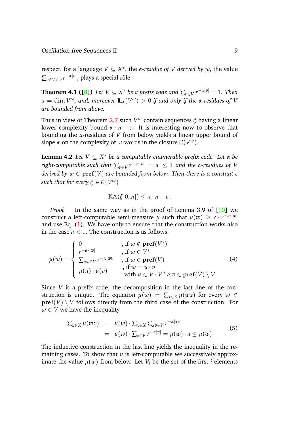<span id="page-9-1"></span> $\mathbf{r}$  respect, for a language  $V \subseteq X^*$ , the *α-residue of*  $V$  *derived by w*, the value  $\sum_{v \in V/ w} r^{-\alpha |v|}$ , plays a special rôle.

**Theorem 4.1 ([\[8\]](#page-14-9))** Let  $V \subseteq X^*$  be a prefix code and  $\sum_{v \in V} r^{-\alpha |v|} = 1$ . Then *α* = dim  $V^{\omega}$ , and, moreover  $\mathbb{L}_{\alpha}(V^{\omega}) > 0$  if and only if the α-residues of  $V$ *are bounded from above.*

Thus in view of Theorem [2.7](#page-5-1) such *V <sup>ω</sup>* contain sequences *ξ* having a linear lower complexity bound  $\alpha \cdot n - c$ . It is interesting now to observe that bounding the *α*-residues of *V* from below yields a linear upper bound of slope  $\alpha$  on the complexity of  $\omega$ -words in the closure  $\mathcal{C}(V^{\omega}).$ 

<span id="page-9-0"></span>**Lemma 4.2** *Let V* ⊆ *X* <sup>∗</sup> *be a computably enumerable prefix code. Let α be*  $\text{right-computable such that } \sum_{v \in V} r^{-\alpha \cdot |v|} \ = \ a \ \leq \ 1 \ \text{and the } \alpha\text{-residues of } V$ *derived by*  $w \in \text{pref}(V)$  *are bounded from below. Then there is a constant c such that for every*  $\xi \in \mathcal{C}(V^\omega)$ 

$$
KA(\xi[0..n]) \leq \alpha \cdot n + c.
$$

*Proof.* In the same way as in the proof of Lemma 3.9 of [\[10\]](#page-14-0) we  $\alpha$  construct a left-computable semi-measure  $\mu$  such that  $\mu(w) \geq c \cdot r^{-\alpha \cdot |w|}$ and use Eq. [\(1\)](#page-3-0). We have only to ensure that the construction works also in the case  $a < 1$ . The construction is as follows.

<span id="page-9-2"></span>
$$
\mu(w) = \begin{cases}\n0 & , \text{ if } w \notin \text{pref}(V^*) \\
\int_{\text{Two} \in V}^{r-\alpha \cdot |w|} & , \text{ if } w \in V^* \\
\sum_{wv \in V} r^{-\alpha |wv|} & , \text{ if } w \in \text{pref}(V) \\
\mu(u) \cdot \mu(v) & , \text{ if } w = u \cdot v \\
\text{ with } u \in V \cdot V^* \land v \in \text{pref}(V) \setminus V\n\end{cases}
$$
\n(4)

Since *V* is a prefix code, the decomposition in the last line of the construction is unique. The equation  $\mu(w) = \sum_{x \in X} \mu(wx)$  for every  $w \in$  $\textbf{pref}(V) \setminus V$  follows directly from the third case of the construction. For  $w \in V$  we have the inequality

<span id="page-9-3"></span>
$$
\sum_{x \in X} \mu(wx) = \mu(w) \cdot \sum_{x \in X} \sum_{xv \in V} r^{-\alpha |xv|}
$$
  
= 
$$
\mu(w) \cdot \sum_{v \in V} r^{-\alpha |v|} = \mu(w) \cdot a \le \mu(w)
$$
 (5)

The inductive construction in the last line yields the inequality in the remaining cases. To show that  $\mu$  is left-computable we successively approximate the value  $\mu(w)$  from below. Let  $V_i$  be the set of the first *i* elements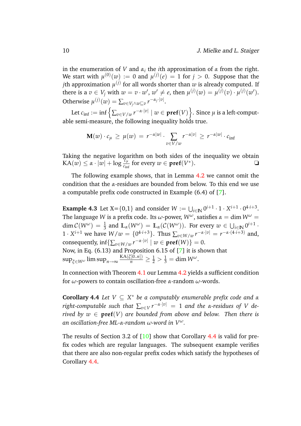in the enumeration of *V* and  $\alpha_i$  the *i*th approximation of  $\alpha$  from the right. We start with  $\mu^{(0)}(w) := 0$  and  $\mu^{(j)}(e) = 1$  for  $j > 0$ . Suppose that the  $j$ th approximation  $\mu^{(j)}$  for all words shorter than  $w$  is already computed. If there is a  $v \in V_j$  with  $w = v \cdot w'$ ,  $w' \neq e$ , then  $\mu^{(j)}(w) = \mu^{(j)}(v) \cdot \mu^{(j)}(w')$ . Otherwise  $\mu^{(j)}(w) = \sum_{v \in V_j \wedge w \sqsubseteq v} r^{-\alpha_j \cdot |v|}.$ 

Let  $c_{\inf} := \inf \left\{ \sum_{v \in V/w} r^{-\alpha \cdot |v|} \mid w \in \mathbf{pref}(V) \right\}$ . Since  $\mu$  is a left-computable semi-measure, the following inequality holds true.

$$
\mathbf{M}(w) \cdot c_{\mu} \ge \mu(w) = r^{-\alpha|w|} \cdot \sum_{v \in V/w} r^{-\alpha|v|} \ge r^{-\alpha|w|} \cdot c_{\inf}
$$

Taking the negative logarithm on both sides of the inequality we obtain  $\text{KA}(w) \leq \alpha \cdot |w| + \log \frac{c_{\mu}}{c_{\text{inf}}}$  for every  $w \in \text{pref}(V^*)$ .

The following example shows, that in Lemma [4.2](#page-9-0) we cannot omit the condition that the *α*-residues are bounded from below. To this end we use a computable prefix code constructed in Example (6.4) of [\[7\]](#page-14-7).

**Example 4.3** Let  $X = \{0,1\}$  and consider  $W := \bigcup_{i \in \mathbb{N}} 0^{i+1} \cdot 1 \cdot X^{i+1} \cdot 0^{4 \cdot i+3}$ . The language *W* is a prefix code. Its  $\omega$ -power,  $W^{\omega}$ , satisfies  $\alpha = \dim W^{\omega} =$ dim  $C(W^{\omega}) = \frac{1}{3}$  and  $\mathbb{L}_{\alpha}(W^{\omega}) = \mathbb{L}_{\alpha}(C(W^{\omega}))$ . For every  $w \in \bigcup_{i \in \mathbb{N}} 0^{i+1}$ . 1 ·  $X^{i+1}$  we have  $W/w = \{0^{4 \cdot i+3}\}\$ . Thus  $\sum_{v \in W/w} r^{-\alpha \cdot |v|} = r^{-\alpha \cdot (4 \cdot i+3)}$  and, consequently,  $\inf \{ \sum_{v \in W/w} r^{-\alpha \cdot |v|} \mid w \in \textbf{pref}(W) \} = 0.$ Now, in Eq. (6.13) and Proposition 6.15 of [\[7\]](#page-14-7) it is shown that  $\sup_{\xi \in W^{\omega}} \limsup_{n \to \infty} \frac{\text{KA}(\xi[0..n])}{n} \ge \frac{1}{2} > \frac{1}{3} = \dim W^{\omega}.$ 

<span id="page-10-0"></span>In connection with Theorem [4.1](#page-9-1) our Lemma [4.2](#page-9-0) yields a sufficient condition for *ω*-powers to contain oscillation-free *α*-random *ω*-words.

**Corollary 4.4** *Let V* ⊆ *X* <sup>∗</sup> *be a computably enumerable prefix code and α*  $r$ ight-computable such that  $\sum_{v \in V} r^{-\alpha \cdot |v|} \ = \ 1$  and the α-residues of  $V$  de*rived by*  $w \in \text{pref}(V)$  *are bounded from above and below. Then there is an oscillation-free ML-α-random ω-word in V ω.*

The results of Section 3.2 of  $[10]$  show that Corollary [4.4](#page-10-0) is valid for prefix codes which are regular languages. The subsequent example verifies that there are also non-regular prefix codes which satisfy the hypotheses of Corollary [4.4.](#page-10-0)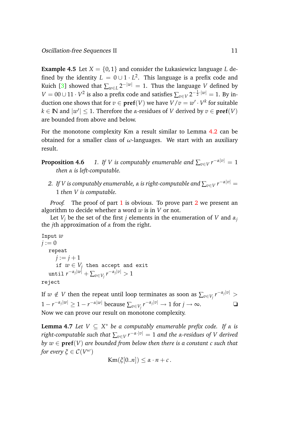**Example 4.5** Let  $X = \{0, 1\}$  and consider the Łukasiewicz language *L* defined by the identity  $L\,=\,0\cup 1\cdot L^2.$  This language is a prefix code and Kuich [\[3\]](#page-13-2) showed that  $\sum_{w \in L} 2^{-|w|} = 1$ . Thus the language *V* defined by *V* = 00∪11⋅*V*<sup>2</sup> is also a prefix code and satisfies  $\sum_{v \in V} 2^{-\frac{1}{2} \cdot |w|} = 1$ . By induction one shows that for  $v \in \textbf{pref}(V)$  we have  $V/v = w' \cdot V^k$  for suitable  $k \in \mathbb{N}$  and  $|w'| \leq 1$ . Therefore the *α*-residues of *V* derived by  $v \in \textbf{pref}(V)$ are bounded from above and below.

<span id="page-11-2"></span>For the monotone complexity Km a result similar to Lemma [4.2](#page-9-0) can be obtained for a smaller class of *ω*-languages. We start with an auxiliary result.

<span id="page-11-0"></span>**Proposition 4.6**  $\quad$  *1. If V is computably enumerable and*  $\sum_{v \in V} r^{-\alpha |v|} = 1$ *then α is left-computable.*

<span id="page-11-1"></span>*2. If V is computably enumerable, α is right-computable and* ∑*v*∈*<sup>V</sup> r* <sup>−</sup>*α*|*v*<sup>|</sup> = 1 *then V is computable.*

*Proof.* The proof of part [1](#page-11-0) is obvious. To prove part [2](#page-11-1) we present an algorithm to decide whether a word *w* is in *V* or not.

Let  $V_j$  be the set of the first *j* elements in the enumeration of *V* and  $\alpha_j$ the *j*th approximation of *α* from the right.

```
Input w
j := 0repeat
        j := j + 1if w \in V_j then accept and exit
    \max\limits_{\mathcal{V}}\left|v\right|\left|v\right|\left|+\sum_{v\in V_j}r^{-\alpha_j|v|}>1
```
reject

If  $w \notin V$  then the repeat until loop terminates as soon as  $\sum_{v \in V_j} r^{-\alpha_j |v|} > 0$  $1 - r^{-\alpha_j|w|} \ge 1 - r^{-\alpha|w|}$  because  $\sum_{v \in V_j} r^{-\alpha_j|v|} \to 1$  for  $j \to \infty$ . <del></del>■ Now we can prove our result on monotone complexity.

**Lemma 4.7** *Let V* ⊆ *X* <sup>∗</sup> *be a computably enumerable prefix code. If α is right-computable such that* ∑*v*∈*<sup>V</sup> r* <sup>−</sup>*α*·|*v*<sup>|</sup> = 1 *and the α-residues of V derived by*  $w \in \text{pref}(V)$  are bounded from below then there is a constant c such that *for every*  $\xi \in \mathcal{C}(V^{\omega})$ 

$$
Km(\xi[0..n]) \leq \alpha \cdot n + c.
$$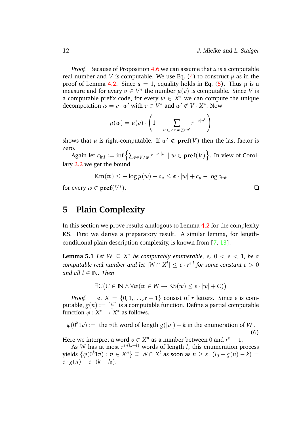*Proof.* Because of Proposition [4.6](#page-11-2) we can assume that *α* is a computable real number and *V* is computable. We use Eq. [\(4\)](#page-9-2) to construct  $\mu$  as in the proof of Lemma [4.2.](#page-9-0) Since  $a = 1$ , equality holds in Eq. [\(5\)](#page-9-3). Thus  $\mu$  is a measure and for every  $v \in V^*$  the number  $\mu(v)$  is computable. Since *V* is a computable prefix code, for every  $w \in X^*$  we can compute the unique decomposition  $w = v \cdot w'$  with  $v \in V^*$  and  $w' \notin V \cdot X^*$ . Now

$$
\mu(w) = \mu(v) \cdot \left(1 - \sum_{v' \in V \wedge w \not\sqsubseteq vv'} r^{-\alpha|v'|}\right)
$$

shows that  $\mu$  is right-computable. If  $w' \notin \textbf{pref}(V)$  then the last factor is zero.

Again let  $c_{\inf} := \inf \left\{ \sum_{v \in V/w} r^{-\alpha \cdot |v|} \mid w \in \mathbf{pref}(V) \right\}$ . In view of Corol-lary [2.2](#page-4-0) we get the bound

$$
Km(w) \leq -\log \mu(w) + c_{\mu} \leq \alpha \cdot |w| + c_{\mu} - \log c_{\inf}
$$

for every  $w \in \textbf{pref}(V^*)$ ).  $\qquad \qquad \Box$ 

## <span id="page-12-0"></span>**5 Plain Complexity**

In this section we prove results analogous to Lemma [4.2](#page-9-0) for the complexity KS. First we derive a preparatory result. A similar lemma, for lengthconditional plain description complexity, is known from [\[7,](#page-14-7) [13\]](#page-14-4).

**Lemma 5.1** *Let*  $W \subseteq X^*$  *be computably enumerable,*  $\varepsilon$ ,  $0 < \varepsilon < 1$ , *be a*  $\mathit{computable real number and let} \ |W \cap X^l| \leq c \cdot r^{\varepsilon \cdot l} \ \textit{for some constant} \ c > 0$ *and all*  $l \in \mathbb{N}$ *. Then* 

$$
\exists C (C \in \mathbb{N} \land \forall w (w \in W \to \mathsf{KS}(w) \le \varepsilon \cdot |w| + C))
$$

*Proof.* Let  $X = \{0, 1, \ldots, r - 1\}$  consist of *r* letters. Since  $\varepsilon$  is computable,  $g(n) := \lceil \frac{n}{s} \rceil$ <sup>n</sup>] is a computable function. Define a partial computable function  $\varphi: X^* \to X^*$  as follows.

 $\varphi(0^k1v) := \text{ the } v\text{th word of length } g(|v|) - k \text{ in the enumeration of } W \,.$ (6)

Here we interpret a word  $v \in X^n$  as a number between 0 and  $r^n - 1$ .

As *W* has at most *r <sup>ε</sup>*·(*lo*+*l*) words of length *l*, this enumeration process  $y$ ields  $\{\varphi(0^k1v): v \in X^n\} \supseteq W \cap X^l$  as soon as  $n \geq \varepsilon \cdot (l_0 + g(n) - k) = 0$  $\varepsilon \cdot g(n) - \varepsilon \cdot (k - l_0).$ 

<span id="page-12-1"></span>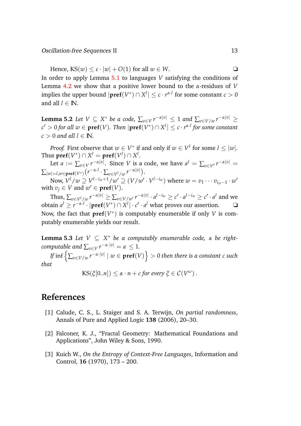Hence,  $KS(w) \leq \varepsilon \cdot |w| + O(1)$  for all  $w \in W$ .

In order to apply Lemma [5.1](#page-12-1) to languages *V* satisfying the conditions of Lemma [4.2](#page-9-0) we show that a positive lower bound to the *α*-residues of *V*  $\mathbf{f}(\mathbf{p}) = \mathbf{p}$  implies the upper bound  $|\mathbf{pref}(V^*) \cap X^l| \leq c \cdot r^{\alpha \cdot l}$  for some constant  $c > 0$ and all  $l \in \mathbb{N}$ .

 $\bf{Lemma 5.2}$   $\it Let\ V\subseteq X^*$   $\it be\ a\ code, \ \sum_{v\in V} r^{-\alpha|v|} \leq 1$   $\it and\ \sum_{v\in V/w} r^{-\alpha|v|} \geq 1$  $c' > 0$  for all  $w \in \textbf{pref}(V)$ . Then  $|\textbf{pref}(V^*) \cap X^l| \leq c \cdot r^{\alpha \cdot l}$  for some constant  $c > 0$  *and all*  $l \in \mathbb{N}$ .

*Proof.* First observe that  $w \in V^*$  if and only if  $w \in V^l$  for some  $l \leq |w|.$  $\textsf{Thus }\textbf{pref}(V^*)\cap X^l=\textbf{pref}(V^l)\cap X^l.$ 

Let  $a := \sum_{v \in V} r^{-\alpha|v|}$ . Since *V* is a code, we have  $a^l = \sum_{v \in V^l} r^{-\alpha|v|} =$  $\sum_{|w|=l,w\in\textbf{pref}(V^*)}\big(r^{-\alpha\cdot l}\cdot \sum_{v\in V^l/w}r^{-\alpha|v|}\big).$ 

Now,  $V^l/w \supseteq V^{l-i_w+1}/w' \supseteq (V/w' \cdot V^{l-i_w})$  where  $w=v_1 \cdots v_{i_w-1} \cdot w'$ with  $v_j \in V$  and  $w' \in \text{pref}(V)$ .

Thus,  $\sum_{v\in V^l/w}r^{-\alpha|v|}\geq \sum_{v\in V/w'}r^{-\alpha|v|}\cdot a^{l-iw}\geq c'\cdot a^{l-iw}\geq c'\cdot a^l$  and we  $\mathbf{I}$   $\mathbf{I}$   $\geq$   $r^{-\alpha \cdot l} \cdot |\mathbf{pref}(V^*) \cap X^l| \cdot c' \cdot a^l$  what proves our assertion.  $\Box$ Now, the fact that  $\textbf{pref}(V^*)$  is computably enumerable if only *V* is computably enumerable yields our result.

**Lemma 5.3** *Let V* ⊆ *X* <sup>∗</sup> *be a computably enumerable code, α be rightcomputable and*  $\sum_{v \in V} r^{-\alpha \cdot |v|} = a \leq 1$ .

 $I\!f$  inf  $\left\{ \sum_{v\in V/w} r^{-\alpha\cdot|v|} \mid w\in\textbf{pref}(V) \right\} > 0$  then there is a constant  $c$  such *that*

 $\text{KS}(\xi[0..n]) \leq \alpha \cdot n + c$  *for every*  $\xi \in \mathcal{C}(V^{\omega})$ .

## **References**

- <span id="page-13-1"></span>[1] Calude, C. S., L. Staiger and S. A. Terwijn, *On partial randomness*, Annals of Pure and Applied Logic **138** (2006), 20–30.
- <span id="page-13-0"></span>[2] Falconer, K. J., "Fractal Geometry: Mathematical Foundations and Applications", John Wiley & Sons, 1990.
- <span id="page-13-2"></span>[3] Kuich W., *On the Entropy of Context-Free Languages*, Information and Control, **16** (1970), 173 – 200.